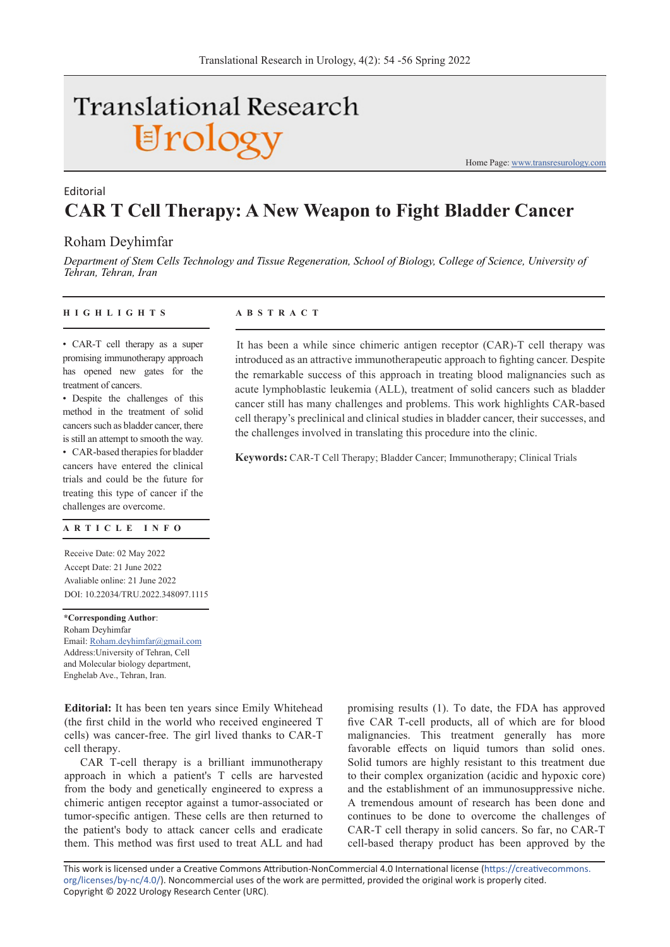# **Translational Research** Urology

Home Page: www.transresurology.com

## **CAR T Cell Therapy: A New Weapon to Fight Bladder Cancer** Editorial

### Roham Deyhimfar

*Department of Stem Cells Technology and Tissue Regeneration, School of Biology, College of Science, University of Tehran, Tehran, Iran*

#### **HIGHLIGHTS ABSTRACT**

• CAR-T cell therapy as a super promising immunotherapy approach has opened new gates for the treatment of cancers.

• Despite the challenges of this method in the treatment of solid cancers such as bladder cancer, there is still an attempt to smooth the way.

• CAR-based therapies for bladder cancers have entered the clinical trials and could be the future for treating this type of cancer if the challenges are overcome.

#### **ARTICLE INFO**

Receive Date: 02 May 2022 Accept Date: 21 June 2022 Avaliable online: 21 June 2022 DOI: 10.22034/TRU.2022.348097.1115

**\*Corresponding Author**: Roham Deyhimfar Email: Roham.deyhimfar@gmail.com Address:University of Tehran, Cell and Molecular biology department, Enghelab Ave., Tehran, Iran.

**Editorial:** It has been ten years since Emily Whitehead (the first child in the world who received engineered T cells) was cancer-free. The girl lived thanks to CAR-T cell therapy.

CAR T-cell therapy is a brilliant immunotherapy approach in which a patient's T cells are harvested from the body and genetically engineered to express a chimeric antigen receptor against a tumor-associated or tumor-specific antigen. These cells are then returned to the patient's body to attack cancer cells and eradicate them. This method was first used to treat ALL and had promising results (1). To date, the FDA has approved five CAR T-cell products, all of which are for blood malignancies. This treatment generally has more favorable effects on liquid tumors than solid ones. Solid tumors are highly resistant to this treatment due to their complex organization (acidic and hypoxic core) and the establishment of an immunosuppressive niche. A tremendous amount of research has been done and continues to be done to overcome the challenges of CAR-T cell therapy in solid cancers. So far, no CAR-T cell-based therapy product has been approved by the

This work is licensed under a Creative Commons Attribution-NonCommercial 4.0 International license (https://creativecommons. org/licenses/by-nc/4.0/). Noncommercial uses of the work are permitted, provided the original work is properly cited. Copyright © 2022 Urology Research Center (URC).

It has been a while since chimeric antigen receptor (CAR)-T cell therapy was introduced as an attractive immunotherapeutic approach to fighting cancer. Despite the remarkable success of this approach in treating blood malignancies such as acute lymphoblastic leukemia (ALL), treatment of solid cancers such as bladder cancer still has many challenges and problems. This work highlights CAR-based cell therapy's preclinical and clinical studies in bladder cancer, their successes, and the challenges involved in translating this procedure into the clinic.

**Keywords:** CAR-T Cell Therapy; Bladder Cancer; Immunotherapy; Clinical Trials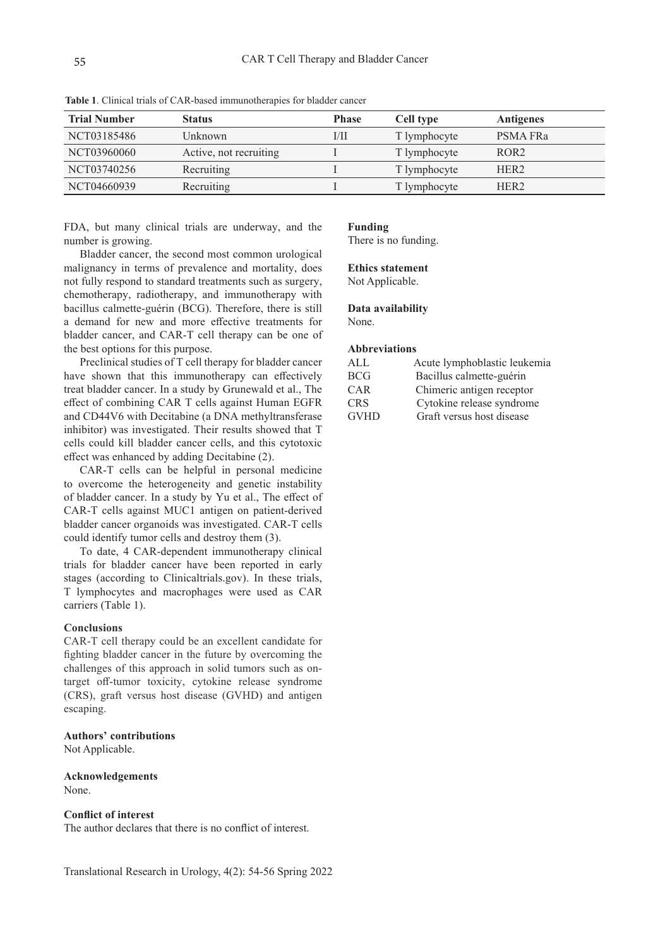| <b>Trial Number</b> | <b>Status</b>          | <b>Phase</b> | Cell type    | <b>Antigenes</b> |
|---------------------|------------------------|--------------|--------------|------------------|
| NCT03185486         | Unknown                | 1/11         | T lymphocyte | PSMA FRa         |
| NCT03960060         | Active, not recruiting |              | T lymphocyte | ROR <sub>2</sub> |
| NCT03740256         | Recruiting             |              | T lymphocyte | HER <sub>2</sub> |
| NCT04660939         | Recruiting             |              | T lymphocyte | HER <sub>2</sub> |

**Table 1**. Clinical trials of CAR-based immunotherapies for bladder cancer

FDA, but many clinical trials are underway, and the number is growing.

Bladder cancer, the second most common urological malignancy in terms of prevalence and mortality, does not fully respond to standard treatments such as surgery, chemotherapy, radiotherapy, and immunotherapy with bacillus calmette-guérin (BCG). Therefore, there is still a demand for new and more effective treatments for bladder cancer, and CAR-T cell therapy can be one of the best options for this purpose.

Preclinical studies of T cell therapy for bladder cancer have shown that this immunotherapy can effectively treat bladder cancer. In a study by Grunewald et al., The effect of combining CAR T cells against Human EGFR and CD44V6 with Decitabine (a DNA methyltransferase inhibitor) was investigated. Their results showed that T cells could kill bladder cancer cells, and this cytotoxic effect was enhanced by adding Decitabine (2).

CAR-T cells can be helpful in personal medicine to overcome the heterogeneity and genetic instability of bladder cancer. In a study by Yu et al., The effect of CAR-T cells against MUC1 antigen on patient-derived bladder cancer organoids was investigated. CAR-T cells could identify tumor cells and destroy them (3).

To date, 4 CAR-dependent immunotherapy clinical trials for bladder cancer have been reported in early stages (according to Clinicaltrials.gov). In these trials, T lymphocytes and macrophages were used as CAR carriers (Table 1).

#### **Conclusions**

CAR-T cell therapy could be an excellent candidate for fighting bladder cancer in the future by overcoming the challenges of this approach in solid tumors such as ontarget off-tumor toxicity, cytokine release syndrome (CRS), graft versus host disease (GVHD) and antigen escaping.

#### **Authors' contributions**

Not Applicable.

**Acknowledgements**  None.

#### **Conflict of interest**

The author declares that there is no conflict of interest.

#### **Funding**

There is no funding.

#### **Ethics statement**

Not Applicable.

#### **Data availability**

None.

#### **Abbreviations**

| AI.         | Acute lymphoblastic leukemia |
|-------------|------------------------------|
| <b>BCG</b>  | Bacillus calmette-guérin     |
| CAR         | Chimeric antigen receptor    |
| <b>CRS</b>  | Cytokine release syndrome    |
| <b>GVHD</b> | Graft versus host disease    |